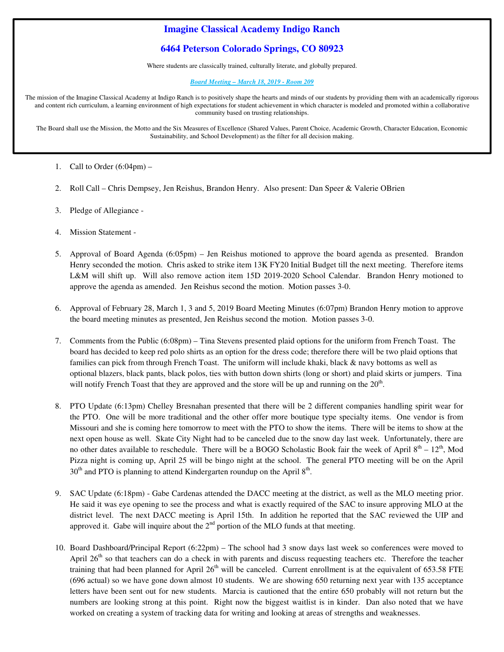# **Imagine Classical Academy Indigo Ranch**

## **6464 Peterson Colorado Springs, CO 80923**

Where students are classically trained, culturally literate, and globally prepared.

#### *Board Meeting – March 18, 2019 - Room 209*

The mission of the Imagine Classical Academy at Indigo Ranch is to positively shape the hearts and minds of our students by providing them with an academically rigorous and content rich curriculum, a learning environment of high expectations for student achievement in which character is modeled and promoted within a collaborative community based on trusting relationships.

The Board shall use the Mission, the Motto and the Six Measures of Excellence (Shared Values, Parent Choice, Academic Growth, Character Education, Economic Sustainability, and School Development) as the filter for all decision making.

**.**

- 1. Call to Order  $(6:04 \text{pm})$  –
- 2. Roll Call Chris Dempsey, Jen Reishus, Brandon Henry. Also present: Dan Speer & Valerie OBrien
- 3. Pledge of Allegiance -
- 4. Mission Statement -
- 5. Approval of Board Agenda (6:05pm) Jen Reishus motioned to approve the board agenda as presented. Brandon Henry seconded the motion. Chris asked to strike item 13K FY20 Initial Budget till the next meeting. Therefore items L&M will shift up. Will also remove action item 15D 2019-2020 School Calendar. Brandon Henry motioned to approve the agenda as amended. Jen Reishus second the motion. Motion passes 3-0.
- 6. Approval of February 28, March 1, 3 and 5, 2019 Board Meeting Minutes (6:07pm) Brandon Henry motion to approve the board meeting minutes as presented, Jen Reishus second the motion. Motion passes 3-0.
- 7. Comments from the Public (6:08pm) Tina Stevens presented plaid options for the uniform from French Toast. The board has decided to keep red polo shirts as an option for the dress code; therefore there will be two plaid options that families can pick from through French Toast. The uniform will include khaki, black & navy bottoms as well as optional blazers, black pants, black polos, ties with button down shirts (long or short) and plaid skirts or jumpers. Tina will notify French Toast that they are approved and the store will be up and running on the  $20<sup>th</sup>$ .
- 8. PTO Update (6:13pm) Chelley Bresnahan presented that there will be 2 different companies handling spirit wear for the PTO. One will be more traditional and the other offer more boutique type specialty items. One vendor is from Missouri and she is coming here tomorrow to meet with the PTO to show the items. There will be items to show at the next open house as well. Skate City Night had to be canceled due to the snow day last week. Unfortunately, there are no other dates available to reschedule. There will be a BOGO Scholastic Book fair the week of April  $8^{th}$  –  $12^{th}$ , Mod Pizza night is coming up, April 25 will be bingo night at the school. The general PTO meeting will be on the April  $30<sup>th</sup>$  and PTO is planning to attend Kindergarten roundup on the April  $8<sup>th</sup>$ .
- 9. SAC Update (6:18pm) Gabe Cardenas attended the DACC meeting at the district, as well as the MLO meeting prior. He said it was eye opening to see the process and what is exactly required of the SAC to insure approving MLO at the district level. The next DACC meeting is April 15th. In addition he reported that the SAC reviewed the UIP and approved it. Gabe will inquire about the  $2<sup>nd</sup>$  portion of the MLO funds at that meeting.
- 10. Board Dashboard/Principal Report (6:22pm) The school had 3 snow days last week so conferences were moved to April  $26<sup>th</sup>$  so that teachers can do a check in with parents and discuss requesting teachers etc. Therefore the teacher training that had been planned for April  $26<sup>th</sup>$  will be canceled. Current enrollment is at the equivalent of 653.58 FTE (696 actual) so we have gone down almost 10 students. We are showing 650 returning next year with 135 acceptance letters have been sent out for new students. Marcia is cautioned that the entire 650 probably will not return but the numbers are looking strong at this point. Right now the biggest waitlist is in kinder. Dan also noted that we have worked on creating a system of tracking data for writing and looking at areas of strengths and weaknesses.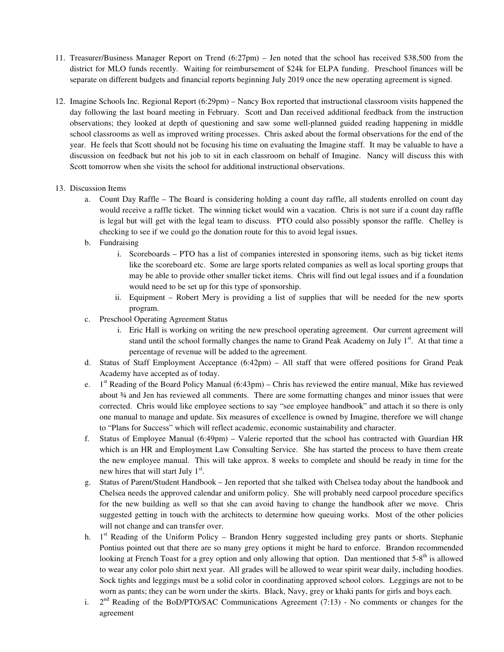- 11. Treasurer/Business Manager Report on Trend (6:27pm) Jen noted that the school has received \$38,500 from the district for MLO funds recently. Waiting for reimbursement of \$24k for ELPA funding. Preschool finances will be separate on different budgets and financial reports beginning July 2019 once the new operating agreement is signed.
- 12. Imagine Schools Inc. Regional Report (6:29pm) Nancy Box reported that instructional classroom visits happened the day following the last board meeting in February. Scott and Dan received additional feedback from the instruction observations; they looked at depth of questioning and saw some well-planned guided reading happening in middle school classrooms as well as improved writing processes. Chris asked about the formal observations for the end of the year. He feels that Scott should not be focusing his time on evaluating the Imagine staff. It may be valuable to have a discussion on feedback but not his job to sit in each classroom on behalf of Imagine. Nancy will discuss this with Scott tomorrow when she visits the school for additional instructional observations.
- 13. Discussion Items
	- a. Count Day Raffle The Board is considering holding a count day raffle, all students enrolled on count day would receive a raffle ticket. The winning ticket would win a vacation. Chris is not sure if a count day raffle is legal but will get with the legal team to discuss. PTO could also possibly sponsor the raffle. Chelley is checking to see if we could go the donation route for this to avoid legal issues.
	- b. Fundraising
		- i. Scoreboards PTO has a list of companies interested in sponsoring items, such as big ticket items like the scoreboard etc. Some are large sports related companies as well as local sporting groups that may be able to provide other smaller ticket items. Chris will find out legal issues and if a foundation would need to be set up for this type of sponsorship.
		- ii. Equipment Robert Mery is providing a list of supplies that will be needed for the new sports program.
	- c. Preschool Operating Agreement Status
		- i. Eric Hall is working on writing the new preschool operating agreement. Our current agreement will stand until the school formally changes the name to Grand Peak Academy on July  $1<sup>st</sup>$ . At that time a percentage of revenue will be added to the agreement.
	- d. Status of Staff Employment Acceptance (6:42pm) All staff that were offered positions for Grand Peak Academy have accepted as of today.
	- e.  $1<sup>st</sup>$  Reading of the Board Policy Manual (6:43pm) Chris has reviewed the entire manual, Mike has reviewed about ¾ and Jen has reviewed all comments. There are some formatting changes and minor issues that were corrected. Chris would like employee sections to say "see employee handbook" and attach it so there is only one manual to manage and update. Six measures of excellence is owned by Imagine, therefore we will change to "Plans for Success" which will reflect academic, economic sustainability and character.
	- f. Status of Employee Manual (6:49pm) Valerie reported that the school has contracted with Guardian HR which is an HR and Employment Law Consulting Service. She has started the process to have them create the new employee manual. This will take approx. 8 weeks to complete and should be ready in time for the new hires that will start July 1<sup>st</sup>.
	- g. Status of Parent/Student Handbook Jen reported that she talked with Chelsea today about the handbook and Chelsea needs the approved calendar and uniform policy. She will probably need carpool procedure specifics for the new building as well so that she can avoid having to change the handbook after we move. Chris suggested getting in touch with the architects to determine how queuing works. Most of the other policies will not change and can transfer over.
	- h. 1<sup>st</sup> Reading of the Uniform Policy Brandon Henry suggested including grey pants or shorts. Stephanie Pontius pointed out that there are so many grey options it might be hard to enforce. Brandon recommended looking at French Toast for a grey option and only allowing that option. Dan mentioned that  $5-8<sup>th</sup>$  is allowed to wear any color polo shirt next year. All grades will be allowed to wear spirit wear daily, including hoodies. Sock tights and leggings must be a solid color in coordinating approved school colors. Leggings are not to be worn as pants; they can be worn under the skirts. Black, Navy, grey or khaki pants for girls and boys each.
	- i.  $2<sup>nd</sup>$  Reading of the BoD/PTO/SAC Communications Agreement (7:13) - No comments or changes for the agreement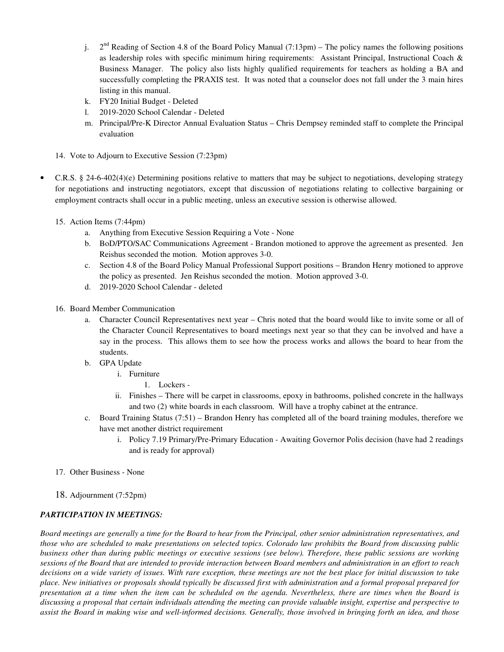- j.  $2<sup>nd</sup>$  Reading of Section 4.8 of the Board Policy Manual (7:13pm) The policy names the following positions as leadership roles with specific minimum hiring requirements: Assistant Principal, Instructional Coach & Business Manager. The policy also lists highly qualified requirements for teachers as holding a BA and successfully completing the PRAXIS test. It was noted that a counselor does not fall under the 3 main hires listing in this manual.
- k. FY20 Initial Budget Deleted
- l. 2019-2020 School Calendar Deleted
- m. Principal/Pre-K Director Annual Evaluation Status Chris Dempsey reminded staff to complete the Principal evaluation
- 14. Vote to Adjourn to Executive Session (7:23pm)
- C.R.S. § 24-6-402(4)(e) Determining positions relative to matters that may be subject to negotiations, developing strategy for negotiations and instructing negotiators, except that discussion of negotiations relating to collective bargaining or employment contracts shall occur in a public meeting, unless an executive session is otherwise allowed.
	- 15. Action Items (7:44pm)
		- a. Anything from Executive Session Requiring a Vote None
		- b. BoD/PTO/SAC Communications Agreement Brandon motioned to approve the agreement as presented. Jen Reishus seconded the motion. Motion approves 3-0.
		- c. Section 4.8 of the Board Policy Manual Professional Support positions Brandon Henry motioned to approve the policy as presented. Jen Reishus seconded the motion. Motion approved 3-0.
		- d. 2019-2020 School Calendar deleted
	- 16. Board Member Communication
		- a. Character Council Representatives next year Chris noted that the board would like to invite some or all of the Character Council Representatives to board meetings next year so that they can be involved and have a say in the process. This allows them to see how the process works and allows the board to hear from the students.
		- b. GPA Update
			- i. Furniture
				- 1. Lockers -
			- ii. Finishes There will be carpet in classrooms, epoxy in bathrooms, polished concrete in the hallways and two (2) white boards in each classroom. Will have a trophy cabinet at the entrance.
		- c. Board Training Status (7:51) Brandon Henry has completed all of the board training modules, therefore we have met another district requirement
			- i. Policy 7.19 Primary/Pre-Primary Education Awaiting Governor Polis decision (have had 2 readings and is ready for approval)
	- 17. Other Business None
	- 18. Adjournment (7:52pm)

## *PARTICIPATION IN MEETINGS:*

*Board meetings are generally a time for the Board to hear from the Principal, other senior administration representatives, and those who are scheduled to make presentations on selected topics. Colorado law prohibits the Board from discussing public business other than during public meetings or executive sessions (see below). Therefore, these public sessions are working sessions of the Board that are intended to provide interaction between Board members and administration in an effort to reach decisions on a wide variety of issues. With rare exception, these meetings are not the best place for initial discussion to take place. New initiatives or proposals should typically be discussed first with administration and a formal proposal prepared for presentation at a time when the item can be scheduled on the agenda. Nevertheless, there are times when the Board is discussing a proposal that certain individuals attending the meeting can provide valuable insight, expertise and perspective to assist the Board in making wise and well-informed decisions. Generally, those involved in bringing forth an idea, and those*